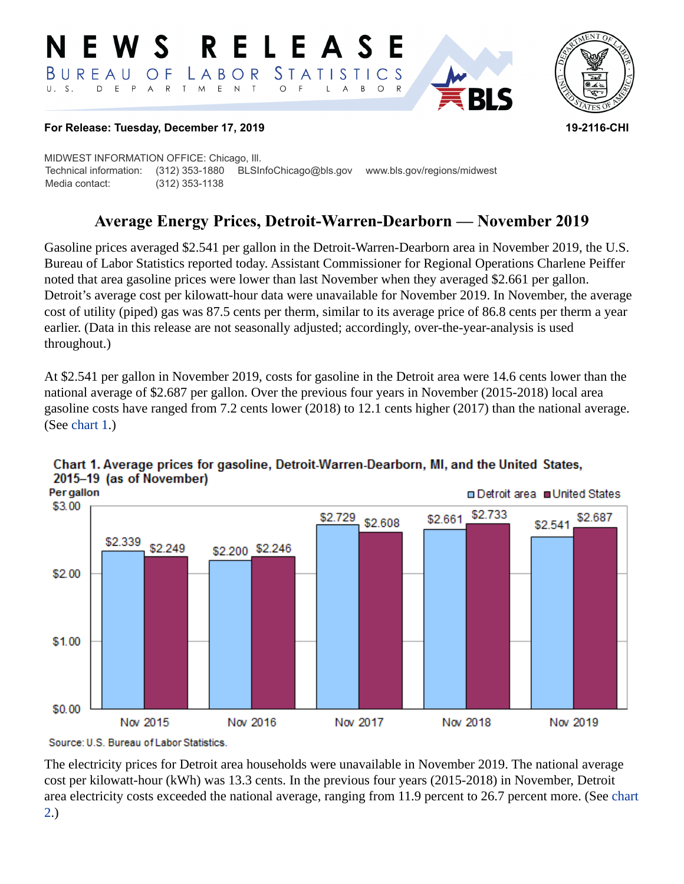#### RELEASE E W S *STATISTICS* LABOR BUREAU  $\overline{O}$  F D E P A R T M E N T  $\circ$  $U. S.$  $\overline{F}$  $\mathsf{L}$  $\overline{A}$  $B$  $\circ$



#### **For Release: Tuesday, December 17, 2019 19-2116-CHI**

MIDWEST INFORMATION OFFICE: Chicago, Ill. Technical information: (312) 353-1880 BLSInfoChicago@bls.gov www.bls.gov/regions/midwest Media contact: (312) 353-1138

# **Average Energy Prices, Detroit-Warren-Dearborn — November 2019**

Gasoline prices averaged \$2.541 per gallon in the Detroit-Warren-Dearborn area in November 2019, the U.S. Bureau of Labor Statistics reported today. Assistant Commissioner for Regional Operations Charlene Peiffer noted that area gasoline prices were lower than last November when they averaged \$2.661 per gallon. Detroit's average cost per kilowatt-hour data were unavailable for November 2019. In November, the average cost of utility (piped) gas was 87.5 cents per therm, similar to its average price of 86.8 cents per therm a year earlier. (Data in this release are not seasonally adjusted; accordingly, over-the-year-analysis is used throughout.)

At \$2.541 per gallon in November 2019, costs for gasoline in the Detroit area were 14.6 cents lower than the national average of \$2.687 per gallon. Over the previous four years in November (2015-2018) local area gasoline costs have ranged from 7.2 cents lower (2018) to 12.1 cents higher (2017) than the national average. (See [chart 1.](#page-0-0))



### <span id="page-0-0"></span>Chart 1. Average prices for gasoline, Detroit-Warren-Dearborn, MI, and the United States, 2015-19 (as of November)

Source: U.S. Bureau of Labor Statistics.

The electricity prices for Detroit area households were unavailable in November 2019. The national average cost per kilowatt-hour (kWh) was 13.3 cents. In the previous four years (2015-2018) in November, Detroit area electricity costs exceeded the national average, ranging from 11.9 percent to 26.7 percent more. (See [chart](#page-1-0)  [2.](#page-1-0))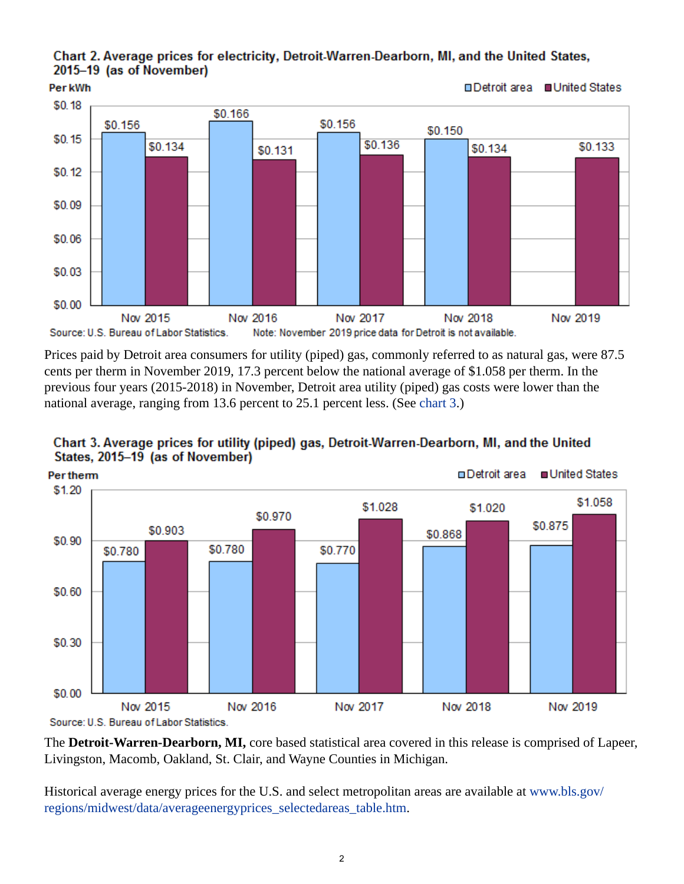<span id="page-1-0"></span>Chart 2. Average prices for electricity, Detroit-Warren-Dearborn, MI, and the United States, 2015-19 (as of November)



Prices paid by Detroit area consumers for utility (piped) gas, commonly referred to as natural gas, were 87.5 cents per therm in November 2019, 17.3 percent below the national average of \$1.058 per therm. In the previous four years (2015-2018) in November, Detroit area utility (piped) gas costs were lower than the national average, ranging from 13.6 percent to 25.1 percent less. (See [chart 3.](#page-1-1))



<span id="page-1-1"></span>

The **Detroit-Warren-Dearborn, MI,** core based statistical area covered in this release is comprised of Lapeer, Livingston, Macomb, Oakland, St. Clair, and Wayne Counties in Michigan.

Historical average energy prices for the U.S. and select metropolitan areas are available at [www.bls.gov/](https://www.bls.gov/regions/midwest/data/averageenergyprices_selectedareas_table.htm) [regions/midwest/data/averageenergyprices\\_selectedareas\\_table.htm.](https://www.bls.gov/regions/midwest/data/averageenergyprices_selectedareas_table.htm)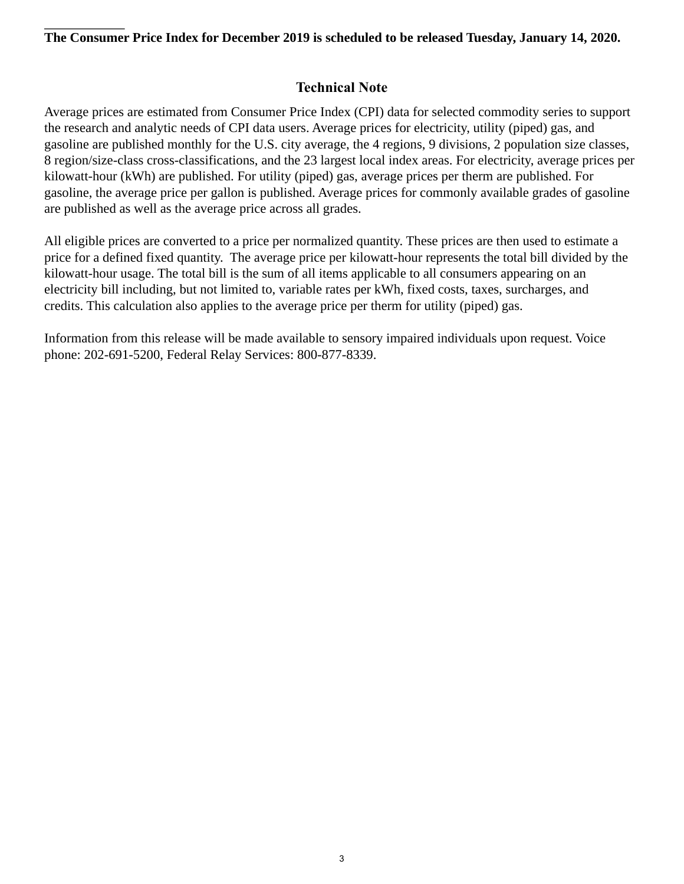### **The Consumer Price Index for December 2019 is scheduled to be released Tuesday, January 14, 2020.**

## **Technical Note**

Average prices are estimated from Consumer Price Index (CPI) data for selected commodity series to support the research and analytic needs of CPI data users. Average prices for electricity, utility (piped) gas, and gasoline are published monthly for the U.S. city average, the 4 regions, 9 divisions, 2 population size classes, 8 region/size-class cross-classifications, and the 23 largest local index areas. For electricity, average prices per kilowatt-hour (kWh) are published. For utility (piped) gas, average prices per therm are published. For gasoline, the average price per gallon is published. Average prices for commonly available grades of gasoline are published as well as the average price across all grades.

All eligible prices are converted to a price per normalized quantity. These prices are then used to estimate a price for a defined fixed quantity. The average price per kilowatt-hour represents the total bill divided by the kilowatt-hour usage. The total bill is the sum of all items applicable to all consumers appearing on an electricity bill including, but not limited to, variable rates per kWh, fixed costs, taxes, surcharges, and credits. This calculation also applies to the average price per therm for utility (piped) gas.

Information from this release will be made available to sensory impaired individuals upon request. Voice phone: 202-691-5200, Federal Relay Services: 800-877-8339.